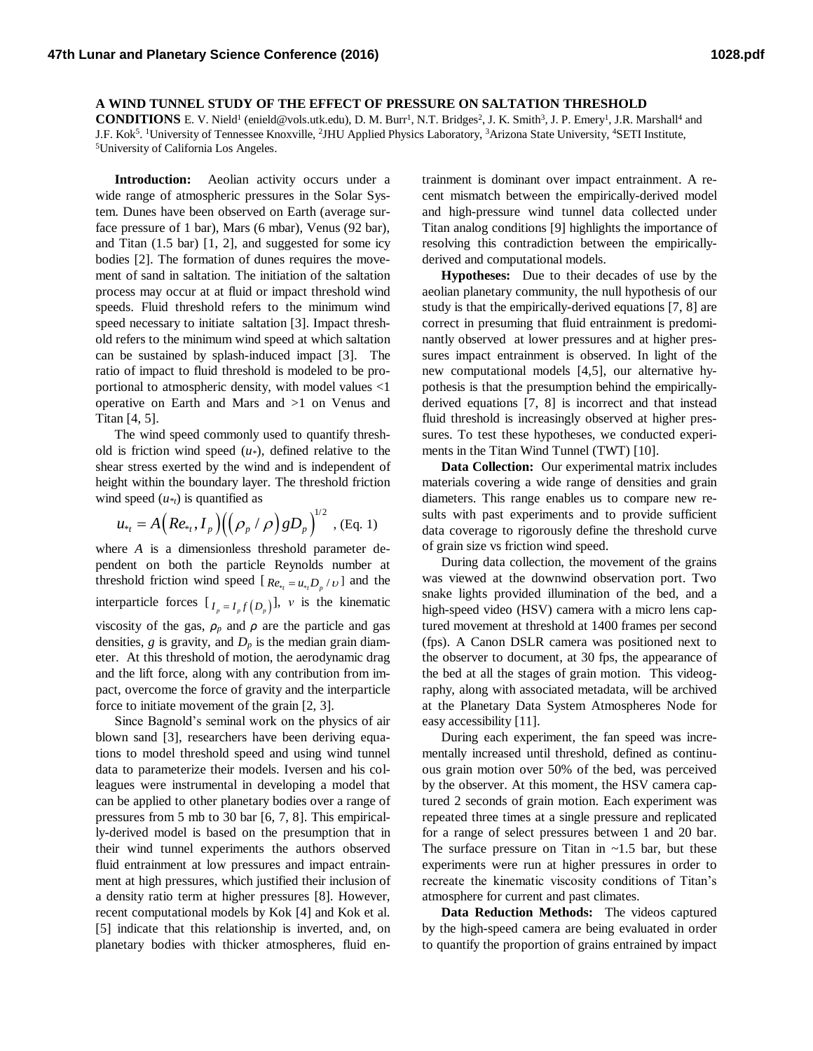**A WIND TUNNEL STUDY OF THE EFFECT OF PRESSURE ON SALTATION THRESHOLD**

**CONDITIONS** E. V. Nield<sup>1</sup> (enield@vols.utk.edu), D. M. Burr<sup>1</sup>, N.T. Bridges<sup>2</sup>, J. K. Smith<sup>3</sup>, J. P. Emery<sup>1</sup>, J.R. Marshall<sup>4</sup> and J.F. Kok<sup>5</sup>. <sup>1</sup>University of Tennessee Knoxville, <sup>2</sup>JHU Applied Physics Laboratory, <sup>3</sup>Arizona State University, <sup>4</sup>SETI Institute, <sup>5</sup>University of California Los Angeles.

**Introduction:** Aeolian activity occurs under a wide range of atmospheric pressures in the Solar System. Dunes have been observed on Earth (average surface pressure of 1 bar), Mars (6 mbar), Venus (92 bar), and Titan (1.5 bar) [1, 2], and suggested for some icy bodies [2]. The formation of dunes requires the movement of sand in saltation. The initiation of the saltation process may occur at at fluid or impact threshold wind speeds. Fluid threshold refers to the minimum wind speed necessary to initiate saltation [3]. Impact threshold refers to the minimum wind speed at which saltation can be sustained by splash-induced impact [3]. The ratio of impact to fluid threshold is modeled to be proportional to atmospheric density, with model values <1 operative on Earth and Mars and >1 on Venus and Titan [4, 5].

The wind speed commonly used to quantify threshold is friction wind speed (*u\**), defined relative to the shear stress exerted by the wind and is independent of height within the boundary layer. The threshold friction wind speed  $(u *_{t})$  is quantified as

$$
u_{*_{t}} = A\Big(Re_{*_{t}}, I_{p}\Big)\Big(\Big(\rho_{p} / \rho\Big)gD_{p}\Big)^{1/2}, (Eq. 1)
$$

where *A* is a dimensionless threshold parameter dependent on both the particle Reynolds number at threshold friction wind speed  $[R_{e_{*t}} = u_{*t}D_p / v]$  and the interparticle forces  $[I_{p} = I_{p} f(D_{p})]$ , *ν* is the kinematic viscosity of the gas,  $\rho_p$  and  $\rho$  are the particle and gas densities,  $g$  is gravity, and  $D_p$  is the median grain diameter. At this threshold of motion, the aerodynamic drag and the lift force, along with any contribution from impact, overcome the force of gravity and the interparticle force to initiate movement of the grain [2, 3].

Since Bagnold's seminal work on the physics of air blown sand [3], researchers have been deriving equations to model threshold speed and using wind tunnel data to parameterize their models. Iversen and his colleagues were instrumental in developing a model that can be applied to other planetary bodies over a range of pressures from 5 mb to 30 bar [6, 7, 8]. This empirically-derived model is based on the presumption that in their wind tunnel experiments the authors observed fluid entrainment at low pressures and impact entrainment at high pressures, which justified their inclusion of a density ratio term at higher pressures [8]. However, recent computational models by Kok [4] and Kok et al. [5] indicate that this relationship is inverted, and, on planetary bodies with thicker atmospheres, fluid en-

trainment is dominant over impact entrainment. A recent mismatch between the empirically-derived model and high-pressure wind tunnel data collected under Titan analog conditions [9] highlights the importance of resolving this contradiction between the empiricallyderived and computational models.

**Hypotheses:** Due to their decades of use by the aeolian planetary community, the null hypothesis of our study is that the empirically-derived equations [7, 8] are correct in presuming that fluid entrainment is predominantly observed at lower pressures and at higher pressures impact entrainment is observed. In light of the new computational models [4,5], our alternative hypothesis is that the presumption behind the empiricallyderived equations [7, 8] is incorrect and that instead fluid threshold is increasingly observed at higher pressures. To test these hypotheses, we conducted experiments in the Titan Wind Tunnel (TWT) [10].

**Data Collection:** Our experimental matrix includes materials covering a wide range of densities and grain diameters. This range enables us to compare new results with past experiments and to provide sufficient data coverage to rigorously define the threshold curve of grain size vs friction wind speed.

During data collection, the movement of the grains was viewed at the downwind observation port. Two snake lights provided illumination of the bed, and a high-speed video (HSV) camera with a micro lens captured movement at threshold at 1400 frames per second (fps). A Canon DSLR camera was positioned next to the observer to document, at 30 fps, the appearance of the bed at all the stages of grain motion. This videography, along with associated metadata, will be archived at the Planetary Data System Atmospheres Node for easy accessibility [11].

During each experiment, the fan speed was incrementally increased until threshold, defined as continuous grain motion over 50% of the bed, was perceived by the observer. At this moment, the HSV camera captured 2 seconds of grain motion. Each experiment was repeated three times at a single pressure and replicated for a range of select pressures between 1 and 20 bar. The surface pressure on Titan in  $\sim$ 1.5 bar, but these experiments were run at higher pressures in order to recreate the kinematic viscosity conditions of Titan's atmosphere for current and past climates.

**Data Reduction Methods:** The videos captured by the high-speed camera are being evaluated in order to quantify the proportion of grains entrained by impact